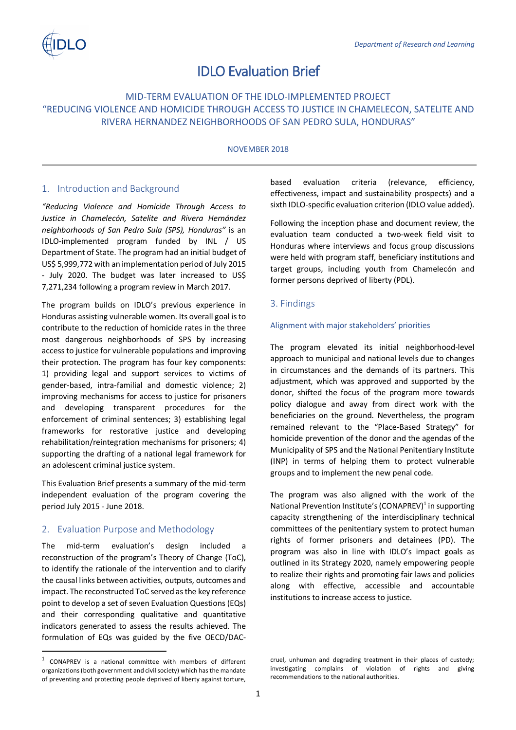# IDLO Evaluation Brief

# MID-TERM EVALUATION OF THE IDLO-IMPLEMENTED PROJECT "REDUCING VIOLENCE AND HOMICIDE THROUGH ACCESS TO JUSTICE IN CHAMELECON, SATELITE AND RIVERA HERNANDEZ NEIGHBORHOODS OF SAN PEDRO SULA, HONDURAS"

#### NOVEMBER 2018

# 1. Introduction and Background

*"Reducing Violence and Homicide Through Access to Justice in Chamelecón, Satelite and Rivera Hernández neighborhoods of San Pedro Sula (SPS), Honduras"* is an IDLO-implemented program funded by INL / US Department of State. The program had an initial budget of US\$ 5,999,772 with an implementation period of July 2015 - July 2020. The budget was later increased to US\$ 7,271,234 following a program review in March 2017.

The program builds on IDLO's previous experience in Honduras assisting vulnerable women. Its overall goal isto contribute to the reduction of homicide rates in the three most dangerous neighborhoods of SPS by increasing access to justice for vulnerable populations and improving their protection. The program has four key components: 1) providing legal and support services to victims of gender-based, intra-familial and domestic violence; 2) improving mechanisms for access to justice for prisoners and developing transparent procedures for the enforcement of criminal sentences; 3) establishing legal frameworks for restorative justice and developing rehabilitation/reintegration mechanisms for prisoners; 4) supporting the drafting of a national legal framework for an adolescent criminal justice system.

This Evaluation Brief presents a summary of the mid-term independent evaluation of the program covering the period July 2015 - June 2018.

# 2. Evaluation Purpose and Methodology

The mid-term evaluation's design included a reconstruction of the program's Theory of Change (ToC), to identify the rationale of the intervention and to clarify the causal links between activities, outputs, outcomes and impact. The reconstructed ToC served as the key reference point to develop a set of seven Evaluation Questions (EQs) and their corresponding qualitative and quantitative indicators generated to assess the results achieved. The formulation of EQs was guided by the five OECD/DAC-

based evaluation criteria (relevance, efficiency, effectiveness, impact and sustainability prospects) and a sixth IDLO-specific evaluation criterion (IDLO value added).

Following the inception phase and document review, the evaluation team conducted a two-week field visit to Honduras where interviews and focus group discussions were held with program staff, beneficiary institutions and target groups, including youth from Chamelecón and former persons deprived of liberty (PDL).

### 3. Findings

#### Alignment with major stakeholders' priorities

The program elevated its initial neighborhood-level approach to municipal and national levels due to changes in circumstances and the demands of its partners. This adjustment, which was approved and supported by the donor, shifted the focus of the program more towards policy dialogue and away from direct work with the beneficiaries on the ground. Nevertheless, the program remained relevant to the "Place-Based Strategy" for homicide prevention of the donor and the agendas of the Municipality of SPS and the National Penitentiary Institute (INP) in terms of helping them to protect vulnerable groups and to implement the new penal code.

The program was also aligned with the work of the National Prevention Institute's (CONAPREV)<sup>1</sup> in supporting capacity strengthening of the interdisciplinary technical committees of the penitentiary system to protect human rights of former prisoners and detainees (PD). The program was also in line with IDLO's impact goals as outlined in its Strategy 2020, namely empowering people to realize their rights and promoting fair laws and policies along with effective, accessible and accountable institutions to increase access to justice.

 <sup>1</sup> CONAPREV is a national committee with members of different organizations (both government and civil society) which has the mandate of preventing and protecting people deprived of liberty against torture,

cruel, unhuman and degrading treatment in their places of custody; investigating complains of violation of rights and giving recommendations to the national authorities.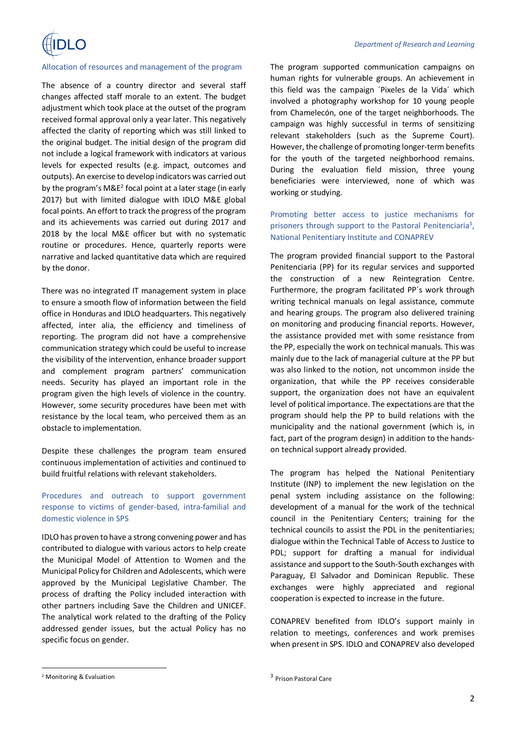

#### Allocation of resources and management of the program

The absence of a country director and several staff changes affected staff morale to an extent. The budget adjustment which took place at the outset of the program received formal approval only a year later. This negatively affected the clarity of reporting which was still linked to the original budget. The initial design of the program did not include a logical framework with indicators at various levels for expected results (e.g. impact, outcomes and outputs). An exercise to develop indicators was carried out by the program's  $M\&E^2$  focal point at a later stage (in early 2017) but with limited dialogue with IDLO M&E global focal points. An effort to track the progress of the program and its achievements was carried out during 2017 and 2018 by the local M&E officer but with no systematic routine or procedures. Hence, quarterly reports were narrative and lacked quantitative data which are required by the donor.

There was no integrated IT management system in place to ensure a smooth flow of information between the field office in Honduras and IDLO headquarters. This negatively affected, inter alia, the efficiency and timeliness of reporting. The program did not have a comprehensive communication strategy which could be useful to increase the visibility of the intervention, enhance broader support and complement program partners' communication needs. Security has played an important role in the program given the high levels of violence in the country. However, some security procedures have been met with resistance by the local team, who perceived them as an obstacle to implementation.

Despite these challenges the program team ensured continuous implementation of activities and continued to build fruitful relations with relevant stakeholders.

## Procedures and outreach to support government response to victims of gender-based, intra-familial and domestic violence in SPS

IDLO has proven to have a strong convening power and has contributed to dialogue with various actors to help create the Municipal Model of Attention to Women and the Municipal Policy for Children and Adolescents, which were approved by the Municipal Legislative Chamber. The process of drafting the Policy included interaction with other partners including Save the Children and UNICEF. The analytical work related to the drafting of the Policy addressed gender issues, but the actual Policy has no specific focus on gender.

The program supported communication campaigns on human rights for vulnerable groups. An achievement in this field was the campaign ´Pixeles de la Vida´ which involved a photography workshop for 10 young people from Chamelecón, one of the target neighborhoods. The campaign was highly successful in terms of sensitizing relevant stakeholders (such as the Supreme Court). However, the challenge of promoting longer-term benefits for the youth of the targeted neighborhood remains. During the evaluation field mission, three young beneficiaries were interviewed, none of which was working or studying.

Promoting better access to justice mechanisms for prisoners through support to the Pastoral Penitenciaria<sup>3</sup>, National Penitentiary Institute and CONAPREV

The program provided financial support to the Pastoral Penitenciaria (PP) for its regular services and supported the construction of a new Reintegration Centre. Furthermore, the program facilitated PP´s work through writing technical manuals on legal assistance, commute and hearing groups. The program also delivered training on monitoring and producing financial reports. However, the assistance provided met with some resistance from the PP, especially the work on technical manuals. This was mainly due to the lack of managerial culture at the PP but was also linked to the notion, not uncommon inside the organization, that while the PP receives considerable support, the organization does not have an equivalent level of political importance. The expectations are that the program should help the PP to build relations with the municipality and the national government (which is, in fact, part of the program design) in addition to the handson technical support already provided.

The program has helped the National Penitentiary Institute (INP) to implement the new legislation on the penal system including assistance on the following: development of a manual for the work of the technical council in the Penitentiary Centers; training for the technical councils to assist the PDL in the penitentiaries; dialogue within the Technical Table of Access to Justice to PDL; support for drafting a manual for individual assistance and support to the South-South exchanges with Paraguay, El Salvador and Dominican Republic. These exchanges were highly appreciated and regional cooperation is expected to increase in the future.

CONAPREV benefited from IDLO's support mainly in relation to meetings, conferences and work premises when present in SPS. IDLO and CONAPREV also developed

 <sup>2</sup> Monitoring & Evaluation

<sup>3</sup> Prison Pastoral Care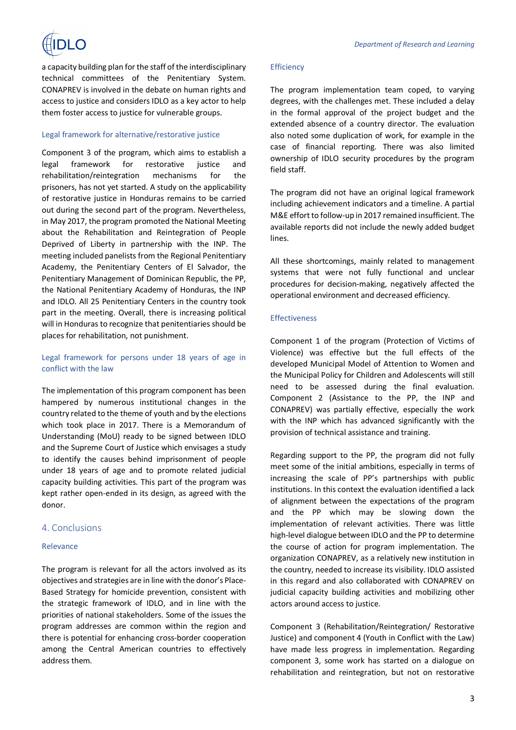

a capacity building plan for the staff of the interdisciplinary technical committees of the Penitentiary System. CONAPREV is involved in the debate on human rights and access to justice and considers IDLO as a key actor to help them foster access to justice for vulnerable groups.

#### Legal framework for alternative/restorative justice

Component 3 of the program, which aims to establish a legal framework for restorative justice and rehabilitation/reintegration mechanisms for the prisoners, has not yet started. A study on the applicability of restorative justice in Honduras remains to be carried out during the second part of the program. Nevertheless, in May 2017, the program promoted the National Meeting about the Rehabilitation and Reintegration of People Deprived of Liberty in partnership with the INP. The meeting included panelists from the Regional Penitentiary Academy, the Penitentiary Centers of El Salvador, the Penitentiary Management of Dominican Republic, the PP, the National Penitentiary Academy of Honduras, the INP and IDLO. All 25 Penitentiary Centers in the country took part in the meeting. Overall, there is increasing political will in Honduras to recognize that penitentiaries should be places for rehabilitation, not punishment.

# Legal framework for persons under 18 years of age in conflict with the law

The implementation of this program component has been hampered by numerous institutional changes in the country related to the theme of youth and by the elections which took place in 2017. There is a Memorandum of Understanding (MoU) ready to be signed between IDLO and the Supreme Court of Justice which envisages a study to identify the causes behind imprisonment of people under 18 years of age and to promote related judicial capacity building activities. This part of the program was kept rather open-ended in its design, as agreed with the donor.

### 4. Conclusions

#### Relevance

The program is relevant for all the actors involved as its objectives and strategies are in line with the donor's Place-Based Strategy for homicide prevention, consistent with the strategic framework of IDLO, and in line with the priorities of national stakeholders. Some of the issues the program addresses are common within the region and there is potential for enhancing cross-border cooperation among the Central American countries to effectively address them.

#### **Efficiency**

The program implementation team coped, to varying degrees, with the challenges met. These included a delay in the formal approval of the project budget and the extended absence of a country director. The evaluation also noted some duplication of work, for example in the case of financial reporting. There was also limited ownership of IDLO security procedures by the program field staff.

The program did not have an original logical framework including achievement indicators and a timeline. A partial M&E effort to follow-up in 2017 remained insufficient. The available reports did not include the newly added budget lines.

All these shortcomings, mainly related to management systems that were not fully functional and unclear procedures for decision-making, negatively affected the operational environment and decreased efficiency.

#### Effectiveness

Component 1 of the program (Protection of Victims of Violence) was effective but the full effects of the developed Municipal Model of Attention to Women and the Municipal Policy for Children and Adolescents will still need to be assessed during the final evaluation. Component 2 (Assistance to the PP, the INP and CONAPREV) was partially effective, especially the work with the INP which has advanced significantly with the provision of technical assistance and training.

Regarding support to the PP, the program did not fully meet some of the initial ambitions, especially in terms of increasing the scale of PP's partnerships with public institutions. In this context the evaluation identified a lack of alignment between the expectations of the program and the PP which may be slowing down the implementation of relevant activities. There was little high-level dialogue between IDLO and the PP to determine the course of action for program implementation. The organization CONAPREV, as a relatively new institution in the country, needed to increase its visibility. IDLO assisted in this regard and also collaborated with CONAPREV on judicial capacity building activities and mobilizing other actors around access to justice.

Component 3 (Rehabilitation/Reintegration/ Restorative Justice) and component 4 (Youth in Conflict with the Law) have made less progress in implementation. Regarding component 3, some work has started on a dialogue on rehabilitation and reintegration, but not on restorative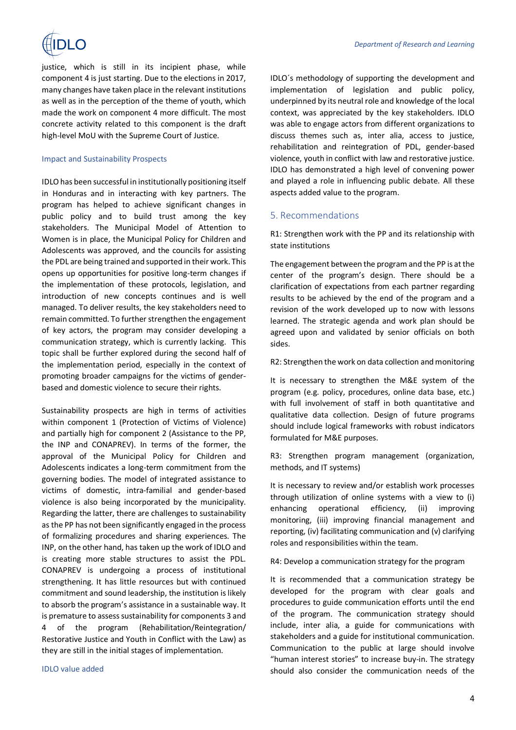

justice, which is still in its incipient phase, while component 4 is just starting. Due to the elections in 2017, many changes have taken place in the relevant institutions as well as in the perception of the theme of youth, which made the work on component 4 more difficult. The most concrete activity related to this component is the draft high-level MoU with the Supreme Court of Justice.

#### Impact and Sustainability Prospects

IDLO has been successful in institutionally positioning itself in Honduras and in interacting with key partners. The program has helped to achieve significant changes in public policy and to build trust among the key stakeholders. The Municipal Model of Attention to Women is in place, the Municipal Policy for Children and Adolescents was approved, and the councils for assisting the PDL are being trained and supported in their work. This opens up opportunities for positive long-term changes if the implementation of these protocols, legislation, and introduction of new concepts continues and is well managed. To deliver results, the key stakeholders need to remain committed. To further strengthen the engagement of key actors, the program may consider developing a communication strategy, which is currently lacking. This topic shall be further explored during the second half of the implementation period, especially in the context of promoting broader campaigns for the victims of genderbased and domestic violence to secure their rights.

Sustainability prospects are high in terms of activities within component 1 (Protection of Victims of Violence) and partially high for component 2 (Assistance to the PP, the INP and CONAPREV). In terms of the former, the approval of the Municipal Policy for Children and Adolescents indicates a long-term commitment from the governing bodies. The model of integrated assistance to victims of domestic, intra-familial and gender-based violence is also being incorporated by the municipality. Regarding the latter, there are challenges to sustainability as the PP has not been significantly engaged in the process of formalizing procedures and sharing experiences. The INP, on the other hand, has taken up the work of IDLO and is creating more stable structures to assist the PDL. CONAPREV is undergoing a process of institutional strengthening. It has little resources but with continued commitment and sound leadership, the institution is likely to absorb the program's assistance in a sustainable way. It is premature to assess sustainability for components 3 and 4 of the program (Rehabilitation/Reintegration/ Restorative Justice and Youth in Conflict with the Law) as they are still in the initial stages of implementation.

IDLO value added

IDLO´s methodology of supporting the development and implementation of legislation and public policy, underpinned by its neutral role and knowledge of the local context, was appreciated by the key stakeholders. IDLO was able to engage actors from different organizations to discuss themes such as, inter alia, access to justice, rehabilitation and reintegration of PDL, gender-based violence, youth in conflict with law and restorative justice. IDLO has demonstrated a high level of convening power and played a role in influencing public debate. All these aspects added value to the program.

#### 5. Recommendations

R1: Strengthen work with the PP and its relationship with state institutions

The engagement between the program and the PP is at the center of the program's design. There should be a clarification of expectations from each partner regarding results to be achieved by the end of the program and a revision of the work developed up to now with lessons learned. The strategic agenda and work plan should be agreed upon and validated by senior officials on both sides.

R2: Strengthen the work on data collection and monitoring

It is necessary to strengthen the M&E system of the program (e.g. policy, procedures, online data base, etc.) with full involvement of staff in both quantitative and qualitative data collection. Design of future programs should include logical frameworks with robust indicators formulated for M&E purposes.

R3: Strengthen program management (organization, methods, and IT systems)

It is necessary to review and/or establish work processes through utilization of online systems with a view to (i) enhancing operational efficiency, (ii) improving monitoring, (iii) improving financial management and reporting, (iv) facilitating communication and (v) clarifying roles and responsibilities within the team.

R4: Develop a communication strategy for the program

It is recommended that a communication strategy be developed for the program with clear goals and procedures to guide communication efforts until the end of the program. The communication strategy should include, inter alia, a guide for communications with stakeholders and a guide for institutional communication. Communication to the public at large should involve "human interest stories" to increase buy-in. The strategy should also consider the communication needs of the